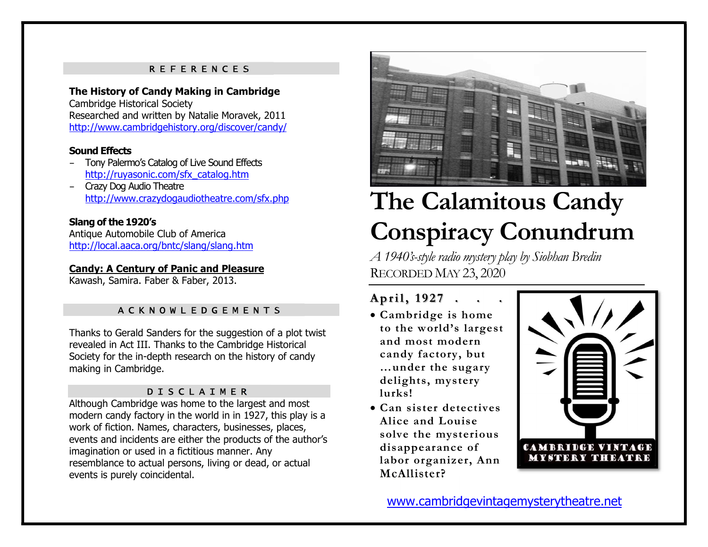#### R E F E R E N C E S

#### The History of Candy Making in Cambridge Cambridge Historical Society

Researched and written by Natalie Moravek, 2011 http://www.cambridgehistory.org/discover/candy/

### Sound Effects

- Tony Palermo's Catalog of Live Sound Effects http://ruyasonic.com/sfx\_catalog.htm
- Crazy Dog Audio Theatre http://www.crazydogaudiotheatre.com/sfx.php

### Slang of the 1920's

Antique Automobile Club of America http://local.aaca.org/bntc/slang/slang.htm

### Candy: A Century of Panic and Pleasure

Kawash, Samira. Faber & Faber, 2013.

## A C K N O W L E D G E M E N T S<br>A C K N O W L E D G E M E N T S

Thanks to Gerald Sanders for the suggestion of a plot twist revealed in Act III. Thanks to the Cambridge Historical Society for the in-depth research on the history of candy making in Cambridge.

### D I S C L A I M E R

Although Cambridge was home to the largest and most modern candy factory in the world in in 1927, this play is a work of fiction. Names, characters, businesses, places, events and incidents are either the products of the author's imagination or used in a fictitious manner. Any resemblance to actual persons, living or dead, or actual events is purely coincidental.



# The Calamitous Candy Conspiracy Conundrum

A 1940's-style radio mystery play by Siobhan Bredin RECORDED MAY 23, 2020

- Cambridge is home to the world's largest and most modern candy factory, but …under the sugary delights, mystery lurks!
- Can sister detectives Alice and Louise solve the mysterious disappearance of labor organizer, Ann McAllister?



www.cambridgevintagemysterytheatre.net